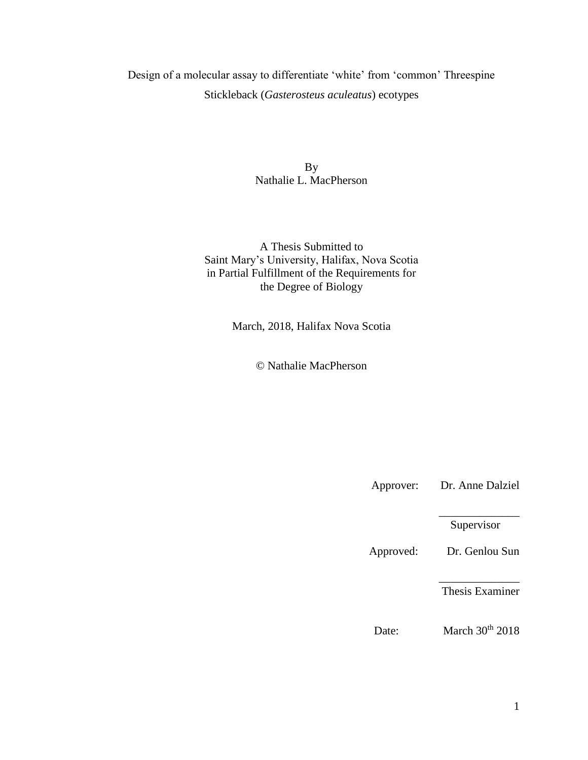Design of a molecular assay to differentiate 'white' from 'common' Threespine Stickleback (*Gasterosteus aculeatus*) ecotypes

> By Nathalie L. MacPherson

A Thesis Submitted to Saint Mary's University, Halifax, Nova Scotia in Partial Fulfillment of the Requirements for the Degree of Biology

March, 2018, Halifax Nova Scotia

© Nathalie MacPherson

Approver: Dr. Anne Dalziel

\_\_\_\_\_\_\_\_\_\_\_\_\_\_ Supervisor

Approved: Dr. Genlou Sun

\_\_\_\_\_\_\_\_\_\_\_\_\_\_ Thesis Examiner

Date: March 30<sup>th</sup> 2018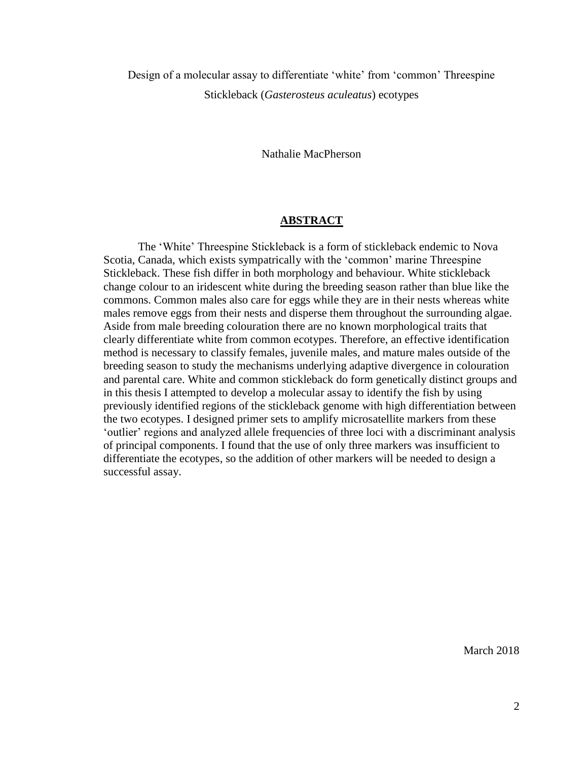Design of a molecular assay to differentiate 'white' from 'common' Threespine Stickleback (*Gasterosteus aculeatus*) ecotypes

Nathalie MacPherson

## **ABSTRACT**

<span id="page-1-0"></span>The 'White' Threespine Stickleback is a form of stickleback endemic to Nova Scotia, Canada, which exists sympatrically with the 'common' marine Threespine Stickleback. These fish differ in both morphology and behaviour. White stickleback change colour to an iridescent white during the breeding season rather than blue like the commons. Common males also care for eggs while they are in their nests whereas white males remove eggs from their nests and disperse them throughout the surrounding algae. Aside from male breeding colouration there are no known morphological traits that clearly differentiate white from common ecotypes. Therefore, an effective identification method is necessary to classify females, juvenile males, and mature males outside of the breeding season to study the mechanisms underlying adaptive divergence in colouration and parental care. White and common stickleback do form genetically distinct groups and in this thesis I attempted to develop a molecular assay to identify the fish by using previously identified regions of the stickleback genome with high differentiation between the two ecotypes. I designed primer sets to amplify microsatellite markers from these 'outlier' regions and analyzed allele frequencies of three loci with a discriminant analysis of principal components. I found that the use of only three markers was insufficient to differentiate the ecotypes, so the addition of other markers will be needed to design a successful assay.

March 2018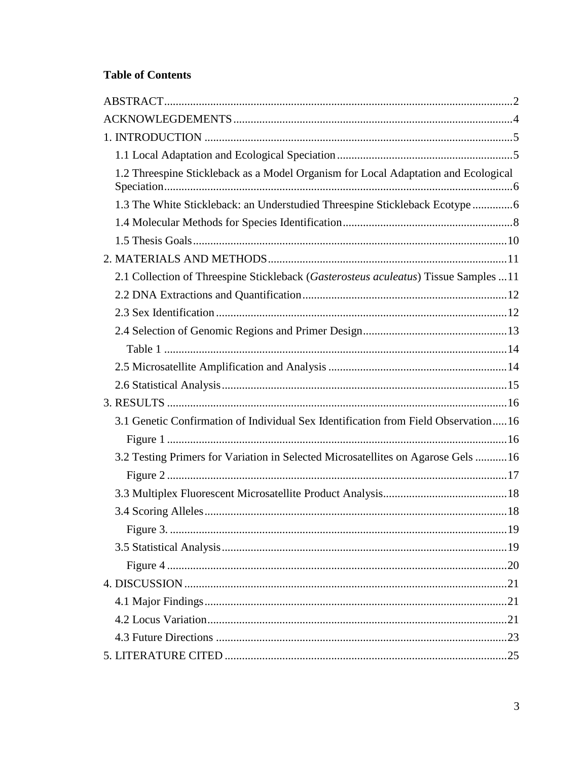## **Table of Contents**

| 1.2 Threespine Stickleback as a Model Organism for Local Adaptation and Ecological   |
|--------------------------------------------------------------------------------------|
| 1.3 The White Stickleback: an Understudied Threespine Stickleback Ecotype 6          |
|                                                                                      |
|                                                                                      |
|                                                                                      |
| 2.1 Collection of Threespine Stickleback (Gasterosteus aculeatus) Tissue Samples  11 |
|                                                                                      |
|                                                                                      |
|                                                                                      |
|                                                                                      |
|                                                                                      |
|                                                                                      |
|                                                                                      |
| 3.1 Genetic Confirmation of Individual Sex Identification from Field Observation16   |
|                                                                                      |
| 3.2 Testing Primers for Variation in Selected Microsatellites on Agarose Gels 16     |
|                                                                                      |
|                                                                                      |
|                                                                                      |
|                                                                                      |
|                                                                                      |
|                                                                                      |
|                                                                                      |
|                                                                                      |
|                                                                                      |
|                                                                                      |
|                                                                                      |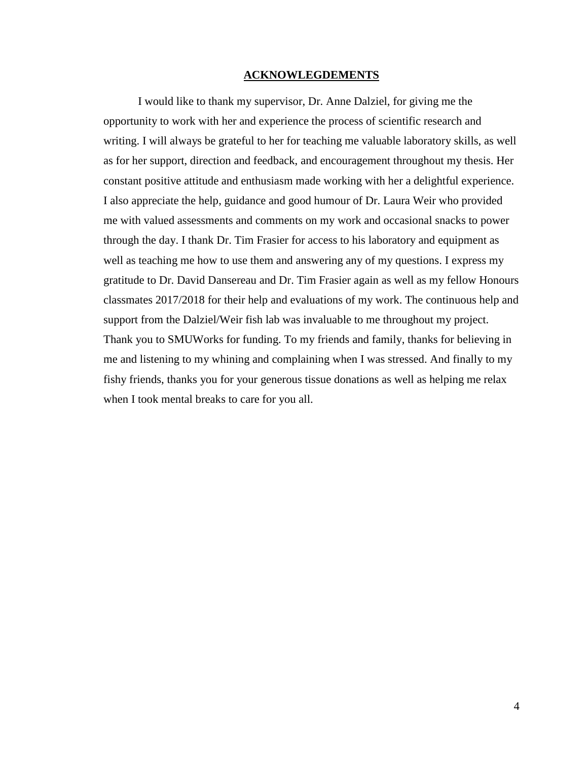## **ACKNOWLEGDEMENTS**

<span id="page-3-0"></span>I would like to thank my supervisor, Dr. Anne Dalziel, for giving me the opportunity to work with her and experience the process of scientific research and writing. I will always be grateful to her for teaching me valuable laboratory skills, as well as for her support, direction and feedback, and encouragement throughout my thesis. Her constant positive attitude and enthusiasm made working with her a delightful experience. I also appreciate the help, guidance and good humour of Dr. Laura Weir who provided me with valued assessments and comments on my work and occasional snacks to power through the day. I thank Dr. Tim Frasier for access to his laboratory and equipment as well as teaching me how to use them and answering any of my questions. I express my gratitude to Dr. David Dansereau and Dr. Tim Frasier again as well as my fellow Honours classmates 2017/2018 for their help and evaluations of my work. The continuous help and support from the Dalziel/Weir fish lab was invaluable to me throughout my project. Thank you to SMUWorks for funding. To my friends and family, thanks for believing in me and listening to my whining and complaining when I was stressed. And finally to my fishy friends, thanks you for your generous tissue donations as well as helping me relax when I took mental breaks to care for you all.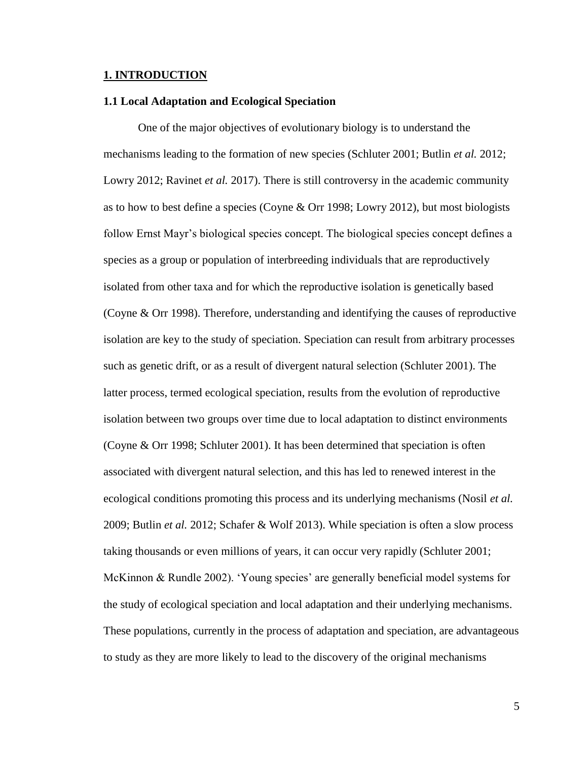## <span id="page-4-0"></span>**1. INTRODUCTION**

#### <span id="page-4-1"></span>**1.1 Local Adaptation and Ecological Speciation**

One of the major objectives of evolutionary biology is to understand the mechanisms leading to the formation of new species (Schluter 2001; Butlin *et al.* 2012; Lowry 2012; Ravinet *et al.* 2017). There is still controversy in the academic community as to how to best define a species (Coyne & Orr 1998; Lowry 2012), but most biologists follow Ernst Mayr's biological species concept. The biological species concept defines a species as a group or population of interbreeding individuals that are reproductively isolated from other taxa and for which the reproductive isolation is genetically based (Coyne & Orr 1998). Therefore, understanding and identifying the causes of reproductive isolation are key to the study of speciation. Speciation can result from arbitrary processes such as genetic drift, or as a result of divergent natural selection (Schluter 2001). The latter process, termed ecological speciation, results from the evolution of reproductive isolation between two groups over time due to local adaptation to distinct environments (Coyne & Orr 1998; Schluter 2001). It has been determined that speciation is often associated with divergent natural selection, and this has led to renewed interest in the ecological conditions promoting this process and its underlying mechanisms (Nosil *et al.* 2009; Butlin *et al.* 2012; Schafer & Wolf 2013). While speciation is often a slow process taking thousands or even millions of years, it can occur very rapidly (Schluter 2001; McKinnon & Rundle 2002). 'Young species' are generally beneficial model systems for the study of ecological speciation and local adaptation and their underlying mechanisms. These populations, currently in the process of adaptation and speciation, are advantageous to study as they are more likely to lead to the discovery of the original mechanisms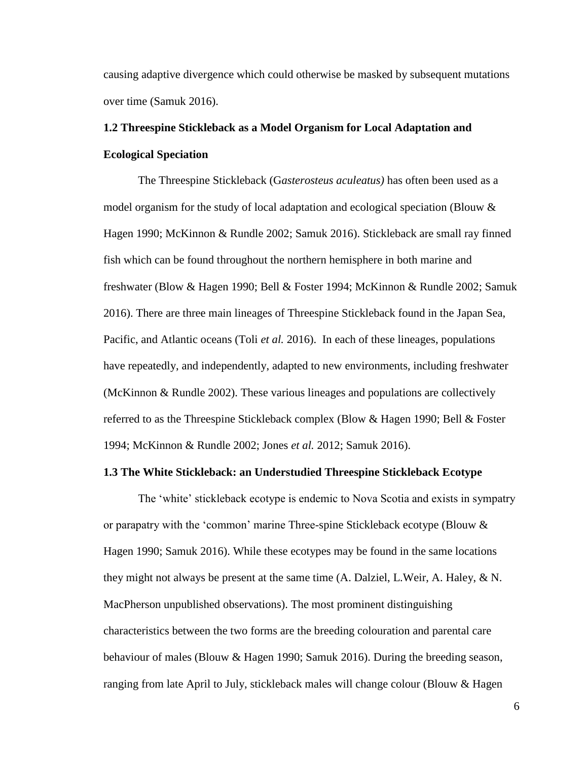causing adaptive divergence which could otherwise be masked by subsequent mutations over time (Samuk 2016).

# <span id="page-5-0"></span>**1.2 Threespine Stickleback as a Model Organism for Local Adaptation and Ecological Speciation**

The Threespine Stickleback (G*asterosteus aculeatus)* has often been used as a model organism for the study of local adaptation and ecological speciation (Blouw & Hagen 1990; McKinnon & Rundle 2002; Samuk 2016). Stickleback are small ray finned fish which can be found throughout the northern hemisphere in both marine and freshwater (Blow & Hagen 1990; Bell & Foster 1994; McKinnon & Rundle 2002; Samuk 2016). There are three main lineages of Threespine Stickleback found in the Japan Sea, Pacific, and Atlantic oceans (Toli *et al.* 2016). In each of these lineages, populations have repeatedly, and independently, adapted to new environments, including freshwater (McKinnon & Rundle 2002). These various lineages and populations are collectively referred to as the Threespine Stickleback complex (Blow & Hagen 1990; Bell & Foster 1994; McKinnon & Rundle 2002; Jones *et al.* 2012; Samuk 2016).

## <span id="page-5-1"></span>**1.3 The White Stickleback: an Understudied Threespine Stickleback Ecotype**

The 'white' stickleback ecotype is endemic to Nova Scotia and exists in sympatry or parapatry with the 'common' marine Three-spine Stickleback ecotype (Blouw & Hagen 1990; Samuk 2016). While these ecotypes may be found in the same locations they might not always be present at the same time (A. Dalziel, L.Weir, A. Haley, & N. MacPherson unpublished observations). The most prominent distinguishing characteristics between the two forms are the breeding colouration and parental care behaviour of males (Blouw & Hagen 1990; Samuk 2016). During the breeding season, ranging from late April to July, stickleback males will change colour (Blouw & Hagen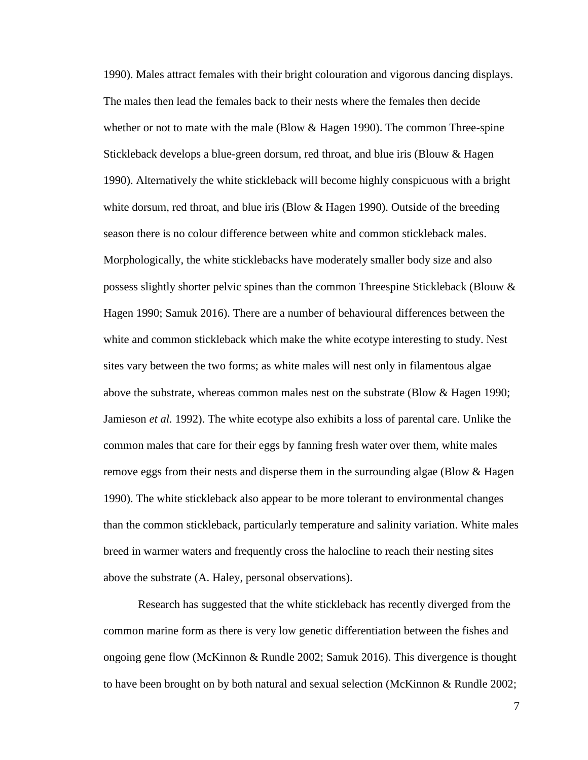1990). Males attract females with their bright colouration and vigorous dancing displays. The males then lead the females back to their nests where the females then decide whether or not to mate with the male (Blow & Hagen 1990). The common Three-spine Stickleback develops a blue-green dorsum, red throat, and blue iris (Blouw & Hagen 1990). Alternatively the white stickleback will become highly conspicuous with a bright white dorsum, red throat, and blue iris (Blow & Hagen 1990). Outside of the breeding season there is no colour difference between white and common stickleback males. Morphologically, the white sticklebacks have moderately smaller body size and also possess slightly shorter pelvic spines than the common Threespine Stickleback (Blouw & Hagen 1990; Samuk 2016). There are a number of behavioural differences between the white and common stickleback which make the white ecotype interesting to study. Nest sites vary between the two forms; as white males will nest only in filamentous algae above the substrate, whereas common males nest on the substrate (Blow & Hagen 1990; Jamieson *et al.* 1992). The white ecotype also exhibits a loss of parental care. Unlike the common males that care for their eggs by fanning fresh water over them, white males remove eggs from their nests and disperse them in the surrounding algae (Blow & Hagen 1990). The white stickleback also appear to be more tolerant to environmental changes than the common stickleback, particularly temperature and salinity variation. White males breed in warmer waters and frequently cross the halocline to reach their nesting sites above the substrate (A. Haley, personal observations).

Research has suggested that the white stickleback has recently diverged from the common marine form as there is very low genetic differentiation between the fishes and ongoing gene flow (McKinnon & Rundle 2002; Samuk 2016). This divergence is thought to have been brought on by both natural and sexual selection (McKinnon & Rundle 2002;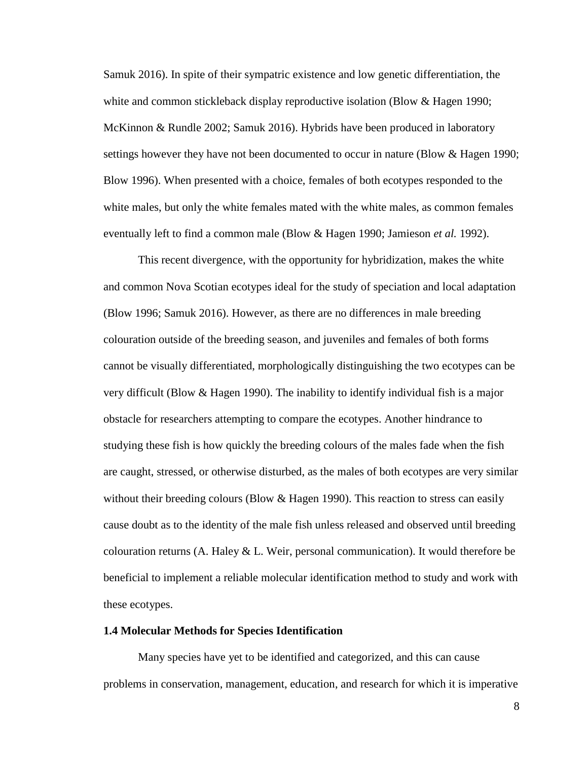Samuk 2016). In spite of their sympatric existence and low genetic differentiation, the white and common stickleback display reproductive isolation (Blow & Hagen 1990; McKinnon & Rundle 2002; Samuk 2016). Hybrids have been produced in laboratory settings however they have not been documented to occur in nature (Blow & Hagen 1990; Blow 1996). When presented with a choice, females of both ecotypes responded to the white males, but only the white females mated with the white males, as common females eventually left to find a common male (Blow & Hagen 1990; Jamieson *et al.* 1992).

This recent divergence, with the opportunity for hybridization, makes the white and common Nova Scotian ecotypes ideal for the study of speciation and local adaptation (Blow 1996; Samuk 2016). However, as there are no differences in male breeding colouration outside of the breeding season, and juveniles and females of both forms cannot be visually differentiated, morphologically distinguishing the two ecotypes can be very difficult (Blow & Hagen 1990). The inability to identify individual fish is a major obstacle for researchers attempting to compare the ecotypes. Another hindrance to studying these fish is how quickly the breeding colours of the males fade when the fish are caught, stressed, or otherwise disturbed, as the males of both ecotypes are very similar without their breeding colours (Blow & Hagen 1990). This reaction to stress can easily cause doubt as to the identity of the male fish unless released and observed until breeding colouration returns (A. Haley & L. Weir, personal communication). It would therefore be beneficial to implement a reliable molecular identification method to study and work with these ecotypes.

#### <span id="page-7-0"></span>**1.4 Molecular Methods for Species Identification**

Many species have yet to be identified and categorized, and this can cause problems in conservation, management, education, and research for which it is imperative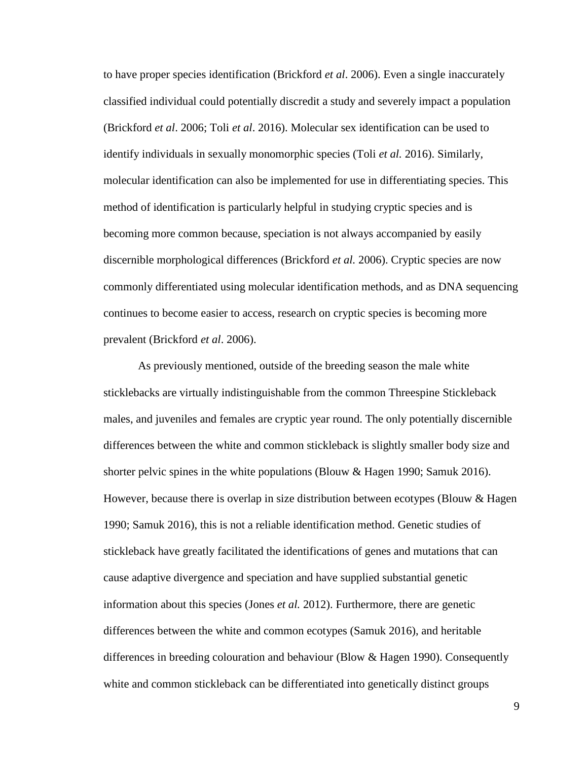to have proper species identification (Brickford *et al*. 2006). Even a single inaccurately classified individual could potentially discredit a study and severely impact a population (Brickford *et al*. 2006; Toli *et al*. 2016). Molecular sex identification can be used to identify individuals in sexually monomorphic species (Toli *et al.* 2016). Similarly, molecular identification can also be implemented for use in differentiating species. This method of identification is particularly helpful in studying cryptic species and is becoming more common because, speciation is not always accompanied by easily discernible morphological differences (Brickford *et al.* 2006). Cryptic species are now commonly differentiated using molecular identification methods, and as DNA sequencing continues to become easier to access, research on cryptic species is becoming more prevalent (Brickford *et al*. 2006).

As previously mentioned, outside of the breeding season the male white sticklebacks are virtually indistinguishable from the common Threespine Stickleback males, and juveniles and females are cryptic year round. The only potentially discernible differences between the white and common stickleback is slightly smaller body size and shorter pelvic spines in the white populations (Blouw & Hagen 1990; Samuk 2016). However, because there is overlap in size distribution between ecotypes (Blouw & Hagen 1990; Samuk 2016), this is not a reliable identification method. Genetic studies of stickleback have greatly facilitated the identifications of genes and mutations that can cause adaptive divergence and speciation and have supplied substantial genetic information about this species (Jones *et al.* 2012). Furthermore, there are genetic differences between the white and common ecotypes (Samuk 2016), and heritable differences in breeding colouration and behaviour (Blow & Hagen 1990). Consequently white and common stickleback can be differentiated into genetically distinct groups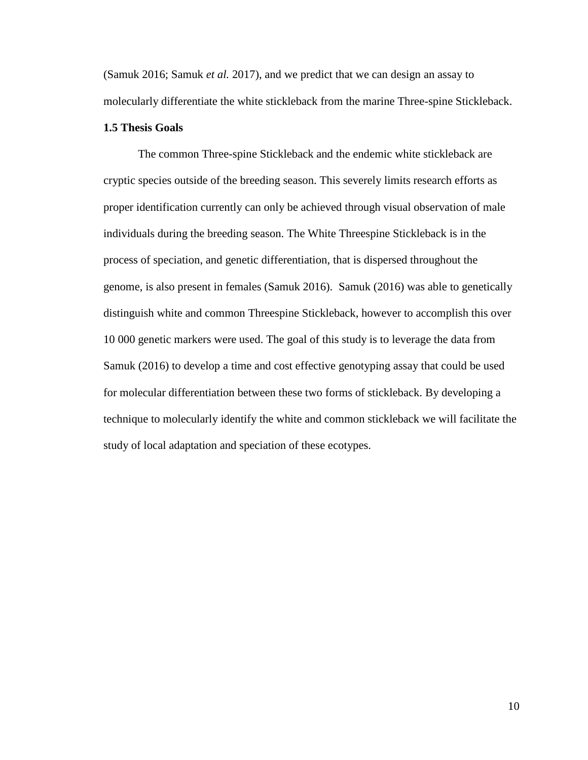(Samuk 2016; Samuk *et al.* 2017), and we predict that we can design an assay to molecularly differentiate the white stickleback from the marine Three-spine Stickleback.

## <span id="page-9-0"></span>**1.5 Thesis Goals**

The common Three-spine Stickleback and the endemic white stickleback are cryptic species outside of the breeding season. This severely limits research efforts as proper identification currently can only be achieved through visual observation of male individuals during the breeding season. The White Threespine Stickleback is in the process of speciation, and genetic differentiation, that is dispersed throughout the genome, is also present in females (Samuk 2016). Samuk (2016) was able to genetically distinguish white and common Threespine Stickleback, however to accomplish this over 10 000 genetic markers were used. The goal of this study is to leverage the data from Samuk (2016) to develop a time and cost effective genotyping assay that could be used for molecular differentiation between these two forms of stickleback. By developing a technique to molecularly identify the white and common stickleback we will facilitate the study of local adaptation and speciation of these ecotypes.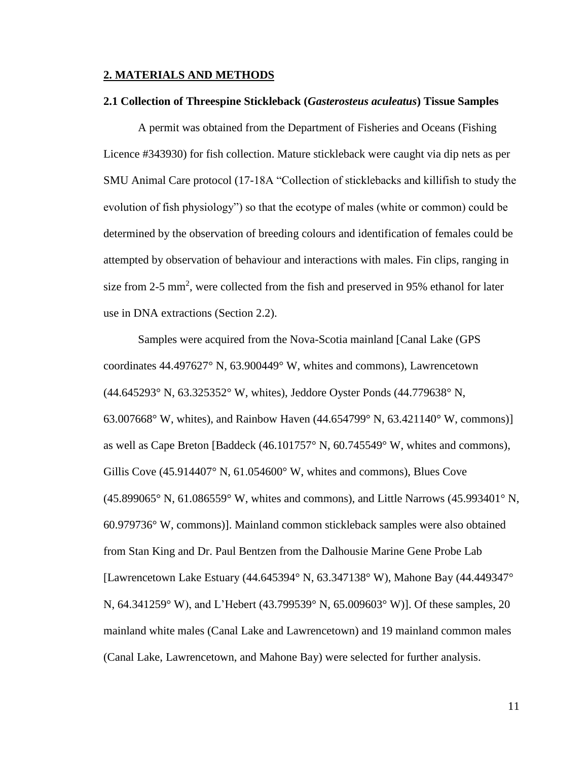## <span id="page-10-0"></span>**2. MATERIALS AND METHODS**

#### <span id="page-10-1"></span>**2.1 Collection of Threespine Stickleback (***Gasterosteus aculeatus***) Tissue Samples**

A permit was obtained from the Department of Fisheries and Oceans (Fishing Licence #343930) for fish collection. Mature stickleback were caught via dip nets as per SMU Animal Care protocol (17-18A "Collection of sticklebacks and killifish to study the evolution of fish physiology") so that the ecotype of males (white or common) could be determined by the observation of breeding colours and identification of females could be attempted by observation of behaviour and interactions with males. Fin clips, ranging in size from 2-5 mm<sup>2</sup>, were collected from the fish and preserved in 95% ethanol for later use in DNA extractions (Section 2.2).

Samples were acquired from the Nova-Scotia mainland [Canal Lake (GPS coordinates 44.497627° N, 63.900449° W, whites and commons), Lawrencetown (44.645293° N, 63.325352° W, whites), Jeddore Oyster Ponds (44.779638° N, 63.007668° W, whites), and Rainbow Haven (44.654799° N, 63.421140° W, commons)] as well as Cape Breton [Baddeck (46.101757° N, 60.745549° W, whites and commons), Gillis Cove  $(45.914407^{\circ} N, 61.054600^{\circ} W,$  whites and commons), Blues Cove (45.899065° N, 61.086559° W, whites and commons), and Little Narrows (45.993401° N, 60.979736° W, commons)]. Mainland common stickleback samples were also obtained from Stan King and Dr. Paul Bentzen from the Dalhousie Marine Gene Probe Lab [Lawrencetown Lake Estuary (44.645394° N, 63.347138° W), Mahone Bay (44.449347° N, 64.341259° W), and L'Hebert (43.799539° N, 65.009603° W)]. Of these samples, 20 mainland white males (Canal Lake and Lawrencetown) and 19 mainland common males (Canal Lake, Lawrencetown, and Mahone Bay) were selected for further analysis.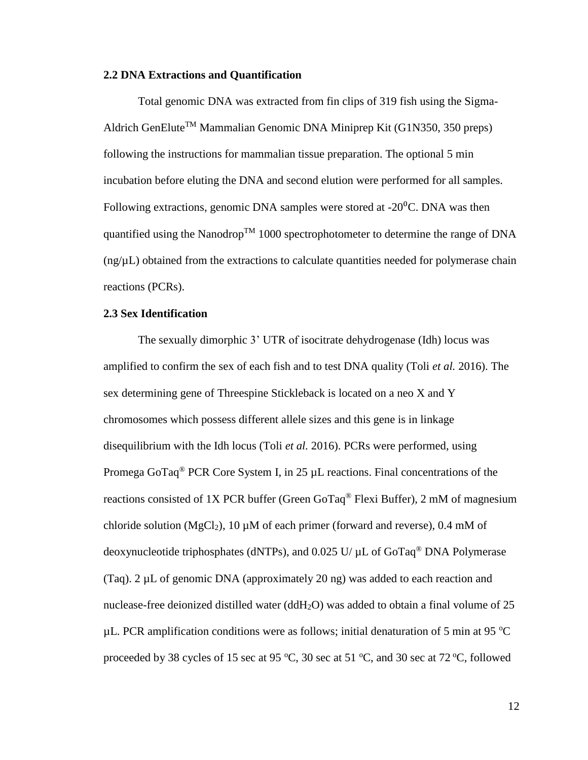## <span id="page-11-0"></span>**2.2 DNA Extractions and Quantification**

Total genomic DNA was extracted from fin clips of 319 fish using the Sigma-Aldrich GenElute<sup>TM</sup> Mammalian Genomic DNA Miniprep Kit (G1N350, 350 preps) following the instructions for mammalian tissue preparation. The optional 5 min incubation before eluting the DNA and second elution were performed for all samples. Following extractions, genomic DNA samples were stored at  $-20^{\circ}$ C. DNA was then quantified using the Nanodrop<sup>TM</sup> 1000 spectrophotometer to determine the range of DNA  $(ng/\mu L)$  obtained from the extractions to calculate quantities needed for polymerase chain reactions (PCRs).

## <span id="page-11-1"></span>**2.3 Sex Identification**

The sexually dimorphic 3' UTR of isocitrate dehydrogenase (Idh) locus was amplified to confirm the sex of each fish and to test DNA quality (Toli *et al.* 2016). The sex determining gene of Threespine Stickleback is located on a neo X and Y chromosomes which possess different allele sizes and this gene is in linkage disequilibrium with the Idh locus (Toli *et al.* 2016). PCRs were performed, using Promega GoTaq<sup>®</sup> PCR Core System I, in 25 µL reactions. Final concentrations of the reactions consisted of 1X PCR buffer (Green GoTaq® Flexi Buffer), 2 mM of magnesium chloride solution (MgCl<sub>2</sub>), 10  $\mu$ M of each primer (forward and reverse), 0.4 mM of deoxynucleotide triphosphates (dNTPs), and 0.025 U/ µL of GoTaq® DNA Polymerase (Taq).  $2 \mu L$  of genomic DNA (approximately 20 ng) was added to each reaction and nuclease-free deionized distilled water ( $ddH<sub>2</sub>O$ ) was added to obtain a final volume of 25  $\mu$ L. PCR amplification conditions were as follows; initial denaturation of 5 min at 95 °C proceeded by 38 cycles of 15 sec at 95  $^{\circ}$ C, 30 sec at 51  $^{\circ}$ C, and 30 sec at 72  $^{\circ}$ C, followed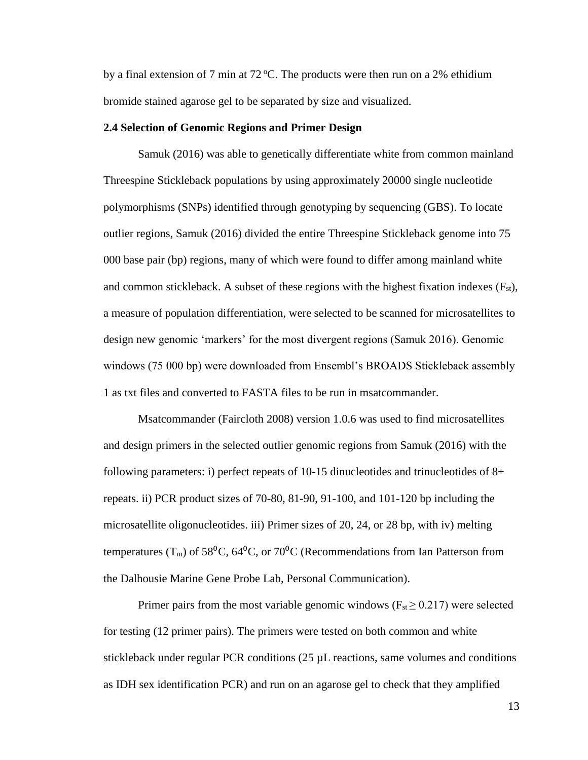by a final extension of 7 min at  $72^{\circ}$ C. The products were then run on a 2% ethidium bromide stained agarose gel to be separated by size and visualized.

## <span id="page-12-0"></span>**2.4 Selection of Genomic Regions and Primer Design**

Samuk (2016) was able to genetically differentiate white from common mainland Threespine Stickleback populations by using approximately 20000 single nucleotide polymorphisms (SNPs) identified through genotyping by sequencing (GBS). To locate outlier regions, Samuk (2016) divided the entire Threespine Stickleback genome into 75 000 base pair (bp) regions, many of which were found to differ among mainland white and common stickleback. A subset of these regions with the highest fixation indexes  $(F<sub>st</sub>)$ , a measure of population differentiation, were selected to be scanned for microsatellites to design new genomic 'markers' for the most divergent regions (Samuk 2016). Genomic windows (75 000 bp) were downloaded from Ensembl's BROADS Stickleback assembly 1 as txt files and converted to FASTA files to be run in msatcommander.

Msatcommander (Faircloth 2008) version 1.0.6 was used to find microsatellites and design primers in the selected outlier genomic regions from Samuk (2016) with the following parameters: i) perfect repeats of 10-15 dinucleotides and trinucleotides of 8+ repeats. ii) PCR product sizes of 70-80, 81-90, 91-100, and 101-120 bp including the microsatellite oligonucleotides. iii) Primer sizes of 20, 24, or 28 bp, with iv) melting temperatures (T<sub>m</sub>) of 58<sup>o</sup>C, 64<sup>o</sup>C, or 70<sup>o</sup>C (Recommendations from Ian Patterson from the Dalhousie Marine Gene Probe Lab, Personal Communication).

Primer pairs from the most variable genomic windows ( $F_{\rm st} \geq 0.217$ ) were selected for testing (12 primer pairs). The primers were tested on both common and white stickleback under regular PCR conditions (25 µL reactions, same volumes and conditions as IDH sex identification PCR) and run on an agarose gel to check that they amplified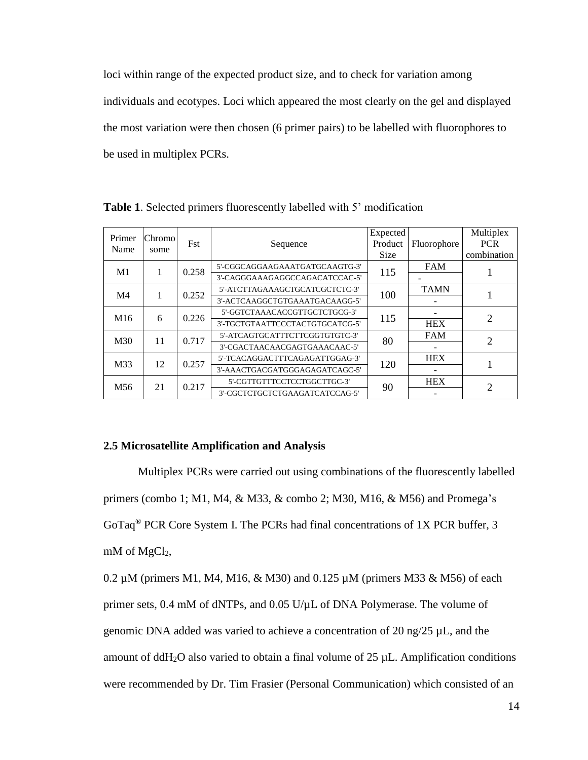loci within range of the expected product size, and to check for variation among individuals and ecotypes. Loci which appeared the most clearly on the gel and displayed the most variation were then chosen (6 primer pairs) to be labelled with fluorophores to be used in multiplex PCRs.

| Primer          | Chromol |            |                                 | Expected    |             | Multiplex                   |
|-----------------|---------|------------|---------------------------------|-------------|-------------|-----------------------------|
| Name            |         | <b>Fst</b> | Sequence                        | Product     | Fluorophore | <b>PCR</b>                  |
|                 | some    |            |                                 | <b>Size</b> |             | combination                 |
| M1              |         | 0.258      | 5'-CGGCAGGAAGAAATGATGCAAGTG-3'  | 115         | <b>FAM</b>  |                             |
|                 |         |            | 3'-CAGGGAAAGAGGCCAGACATCCAC-5'  |             |             |                             |
| M4              | 1       | 0.252      | 5'-ATCTTAGAAAGCTGCATCGCTCTC-3'  | 100         | <b>TAMN</b> |                             |
|                 |         |            | 3'-ACTCAAGGCTGTGAAATGACAAGG-5'  |             |             |                             |
| M <sub>16</sub> | 6       | 0.226      | 5'-GGTCTAAACACCGTTGCTCTGCG-3'   | 115         |             | $\overline{2}$              |
|                 |         |            | 3'-TGCTGTAATTCCCTACTGTGCATCG-5' |             | <b>HEX</b>  |                             |
| M30             | 11      | 0.717      | 5'-ATCAGTGCATTTCTTCGGTGTGTC-3'  | 80          | <b>FAM</b>  | $\mathcal{D}_{\mathcal{L}}$ |
|                 |         |            | 3'-CGACTAACAACGAGTGAAACAAC-5'   |             |             |                             |
| M33             | 12      | 0.257      | 5'-TCACAGGACTTTCAGAGATTGGAG-3'  | 120         | <b>HEX</b>  |                             |
|                 |         |            | 3'-AAACTGACGATGGGAGAGATCAGC-5'  |             |             |                             |
| M <sub>56</sub> | 21      | 0.217      | 5'-CGTTGTTTCCTCCTGGCTTGC-3'     | 90          | <b>HEX</b>  | $\mathfrak{D}$              |
|                 |         |            | 3'-CGCTCTGCTCTGAAGATCATCCAG-5'  |             |             |                             |

<span id="page-13-0"></span>**Table 1**. Selected primers fluorescently labelled with 5' modification

## <span id="page-13-1"></span>**2.5 Microsatellite Amplification and Analysis**

Multiplex PCRs were carried out using combinations of the fluorescently labelled primers (combo 1; M1, M4, & M33, & combo 2; M30, M16, & M56) and Promega's GoTaq® PCR Core System I. The PCRs had final concentrations of 1X PCR buffer, 3 mM of MgCl<sub>2</sub>,

0.2 µM (primers M1, M4, M16, & M30) and 0.125 µM (primers M33 & M56) of each primer sets, 0.4 mM of dNTPs, and 0.05 U/µL of DNA Polymerase. The volume of genomic DNA added was varied to achieve a concentration of 20 ng/25 µL, and the amount of  $ddH_2O$  also varied to obtain a final volume of 25  $\mu$ L. Amplification conditions were recommended by Dr. Tim Frasier (Personal Communication) which consisted of an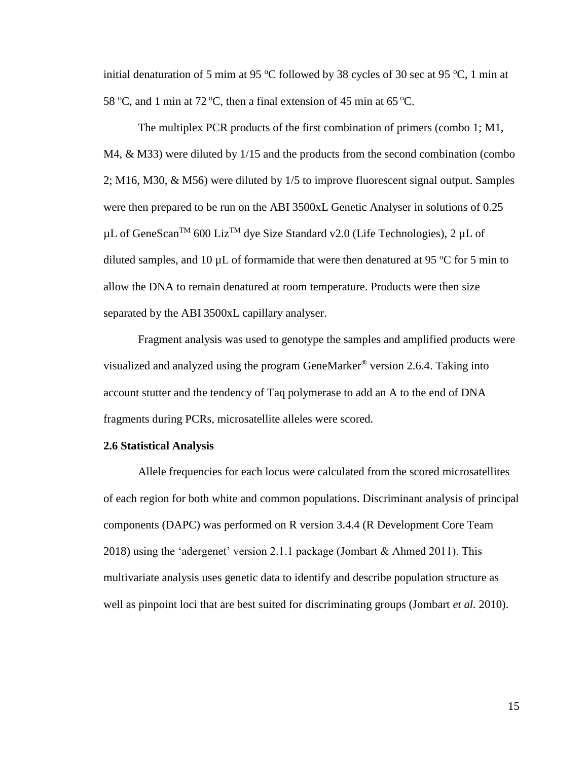initial denaturation of 5 mim at 95  $\degree$ C followed by 38 cycles of 30 sec at 95  $\degree$ C, 1 min at 58 °C, and 1 min at 72 °C, then a final extension of 45 min at 65 °C.

The multiplex PCR products of the first combination of primers (combo 1; M1, M4, & M33) were diluted by 1/15 and the products from the second combination (combo 2; M16, M30, & M56) were diluted by 1/5 to improve fluorescent signal output. Samples were then prepared to be run on the ABI 3500xL Genetic Analyser in solutions of 0.25  $\mu$ L of GeneScan<sup>TM</sup> 600 Liz<sup>TM</sup> dye Size Standard v2.0 (Life Technologies), 2  $\mu$ L of diluted samples, and 10  $\mu$ L of formamide that were then denatured at 95 °C for 5 min to allow the DNA to remain denatured at room temperature. Products were then size separated by the ABI 3500xL capillary analyser.

Fragment analysis was used to genotype the samples and amplified products were visualized and analyzed using the program GeneMarker® version 2.6.4. Taking into account stutter and the tendency of Taq polymerase to add an A to the end of DNA fragments during PCRs, microsatellite alleles were scored.

## <span id="page-14-0"></span>**2.6 Statistical Analysis**

Allele frequencies for each locus were calculated from the scored microsatellites of each region for both white and common populations. Discriminant analysis of principal components (DAPC) was performed on R version 3.4.4 (R Development Core Team 2018) using the 'adergenet' version 2.1.1 package (Jombart & Ahmed 2011). This multivariate analysis uses genetic data to identify and describe population structure as well as pinpoint loci that are best suited for discriminating groups (Jombart *et al.* 2010).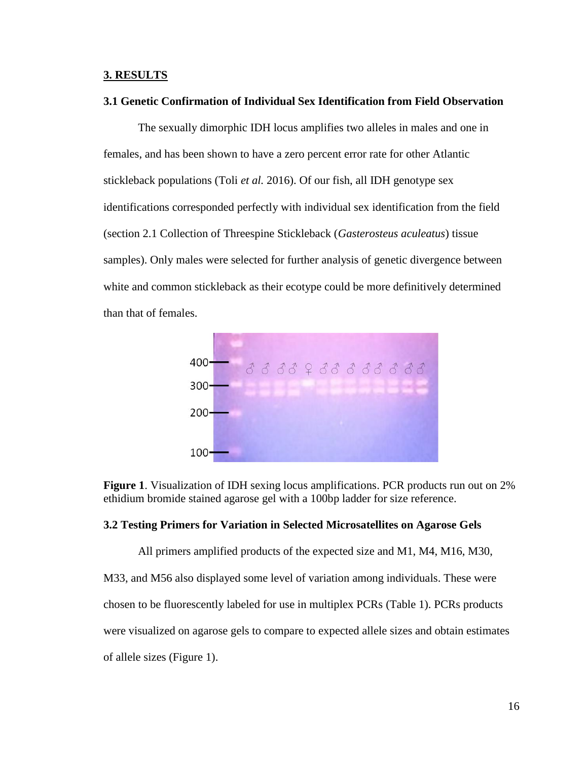## <span id="page-15-0"></span>**3. RESULTS**

## <span id="page-15-1"></span>**3.1 Genetic Confirmation of Individual Sex Identification from Field Observation**

The sexually dimorphic IDH locus amplifies two alleles in males and one in females, and has been shown to have a zero percent error rate for other Atlantic stickleback populations (Toli *et al.* 2016). Of our fish, all IDH genotype sex identifications corresponded perfectly with individual sex identification from the field (section 2.1 Collection of Threespine Stickleback (*Gasterosteus aculeatus*) tissue samples). Only males were selected for further analysis of genetic divergence between white and common stickleback as their ecotype could be more definitively determined than that of females.



<span id="page-15-2"></span>**Figure 1**. Visualization of IDH sexing locus amplifications. PCR products run out on 2% ethidium bromide stained agarose gel with a 100bp ladder for size reference.

## <span id="page-15-3"></span>**3.2 Testing Primers for Variation in Selected Microsatellites on Agarose Gels**

All primers amplified products of the expected size and M1, M4, M16, M30,

M33, and M56 also displayed some level of variation among individuals. These were chosen to be fluorescently labeled for use in multiplex PCRs (Table 1). PCRs products were visualized on agarose gels to compare to expected allele sizes and obtain estimates of allele sizes (Figure 1).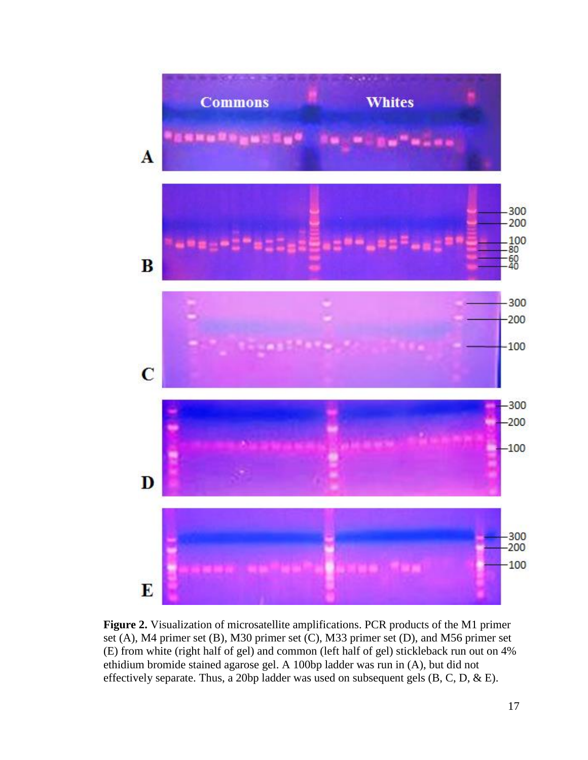

<span id="page-16-0"></span>**Figure 2.** Visualization of microsatellite amplifications. PCR products of the M1 primer set (A), M4 primer set (B), M30 primer set (C), M33 primer set (D), and M56 primer set (E) from white (right half of gel) and common (left half of gel) stickleback run out on 4% ethidium bromide stained agarose gel. A 100bp ladder was run in (A), but did not effectively separate. Thus, a 20bp ladder was used on subsequent gels (B, C, D, & E).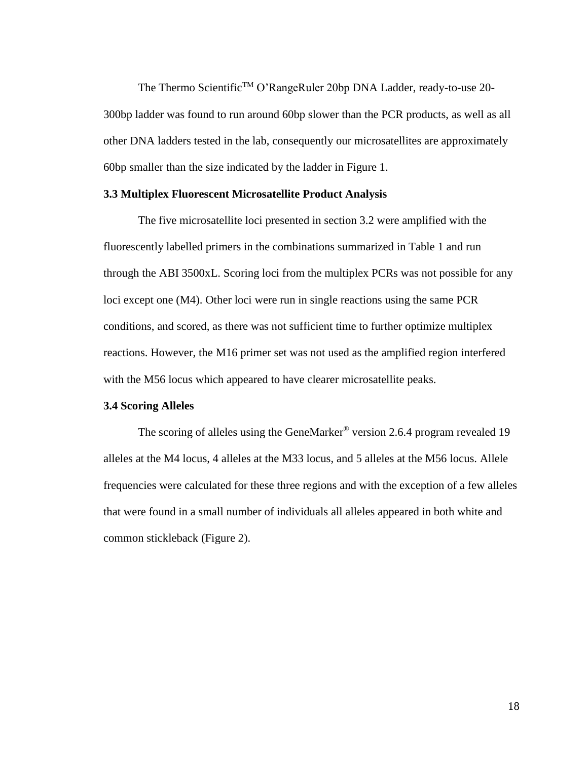The Thermo Scientific<sup>™</sup> O'RangeRuler 20bp DNA Ladder, ready-to-use 20-300bp ladder was found to run around 60bp slower than the PCR products, as well as all other DNA ladders tested in the lab, consequently our microsatellites are approximately 60bp smaller than the size indicated by the ladder in Figure 1.

## <span id="page-17-0"></span>**3.3 Multiplex Fluorescent Microsatellite Product Analysis**

The five microsatellite loci presented in section 3.2 were amplified with the fluorescently labelled primers in the combinations summarized in Table 1 and run through the ABI 3500xL. Scoring loci from the multiplex PCRs was not possible for any loci except one (M4). Other loci were run in single reactions using the same PCR conditions, and scored, as there was not sufficient time to further optimize multiplex reactions. However, the M16 primer set was not used as the amplified region interfered with the M56 locus which appeared to have clearer microsatellite peaks.

## <span id="page-17-1"></span>**3.4 Scoring Alleles**

The scoring of alleles using the GeneMarker® version 2.6.4 program revealed 19 alleles at the M4 locus, 4 alleles at the M33 locus, and 5 alleles at the M56 locus. Allele frequencies were calculated for these three regions and with the exception of a few alleles that were found in a small number of individuals all alleles appeared in both white and common stickleback (Figure 2).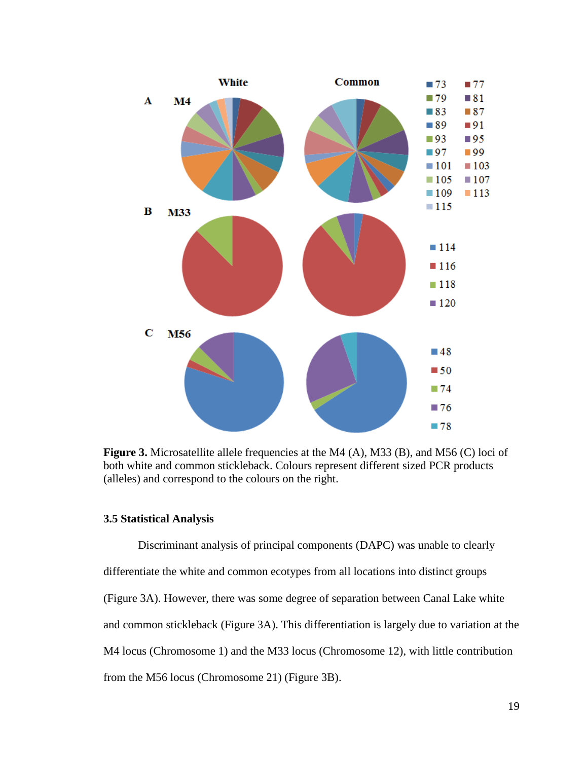

<span id="page-18-0"></span>**Figure 3.** Microsatellite allele frequencies at the M4 (A), M33 (B), and M56 (C) loci of both white and common stickleback. Colours represent different sized PCR products (alleles) and correspond to the colours on the right.

## <span id="page-18-1"></span>**3.5 Statistical Analysis**

Discriminant analysis of principal components (DAPC) was unable to clearly differentiate the white and common ecotypes from all locations into distinct groups (Figure 3A). However, there was some degree of separation between Canal Lake white and common stickleback (Figure 3A). This differentiation is largely due to variation at the M4 locus (Chromosome 1) and the M33 locus (Chromosome 12), with little contribution from the M56 locus (Chromosome 21) (Figure 3B).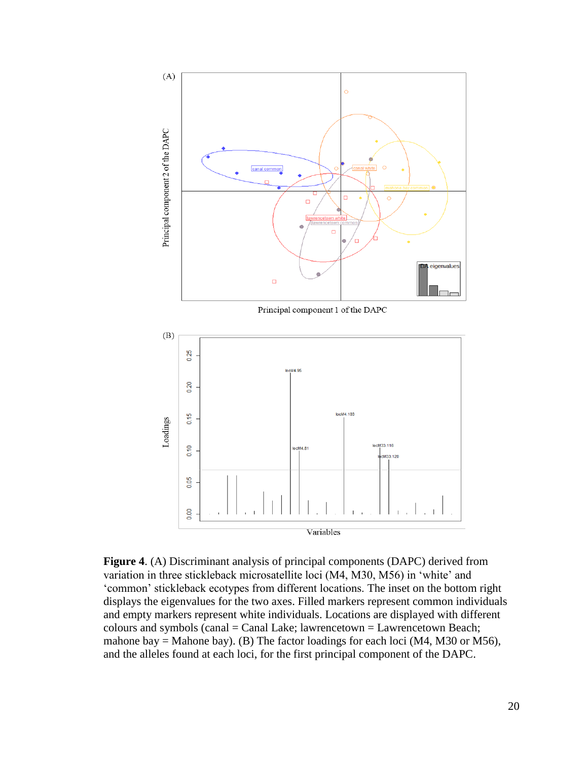

<span id="page-19-0"></span>**Figure 4**. (A) Discriminant analysis of principal components (DAPC) derived from variation in three stickleback microsatellite loci (M4, M30, M56) in 'white' and 'common' stickleback ecotypes from different locations. The inset on the bottom right displays the eigenvalues for the two axes. Filled markers represent common individuals and empty markers represent white individuals. Locations are displayed with different  $colours$  and symbols (canal = Canal Lake; lawrencetown = Lawrencetown Beach; mahone bay = Mahone bay). (B) The factor loadings for each loci (M4, M30 or M56), and the alleles found at each loci, for the first principal component of the DAPC.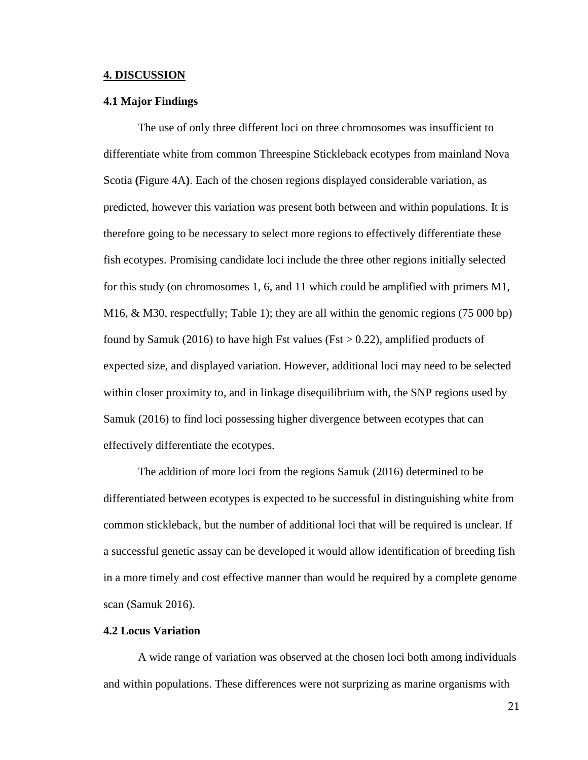#### <span id="page-20-0"></span>**4. DISCUSSION**

#### <span id="page-20-1"></span>**4.1 Major Findings**

The use of only three different loci on three chromosomes was insufficient to differentiate white from common Threespine Stickleback ecotypes from mainland Nova Scotia **(**Figure 4A**)**. Each of the chosen regions displayed considerable variation, as predicted, however this variation was present both between and within populations. It is therefore going to be necessary to select more regions to effectively differentiate these fish ecotypes. Promising candidate loci include the three other regions initially selected for this study (on chromosomes 1, 6, and 11 which could be amplified with primers M1, M16, & M30, respectfully; Table 1); they are all within the genomic regions (75 000 bp) found by Samuk (2016) to have high Fst values (Fst  $> 0.22$ ), amplified products of expected size, and displayed variation. However, additional loci may need to be selected within closer proximity to, and in linkage disequilibrium with, the SNP regions used by Samuk (2016) to find loci possessing higher divergence between ecotypes that can effectively differentiate the ecotypes.

The addition of more loci from the regions Samuk (2016) determined to be differentiated between ecotypes is expected to be successful in distinguishing white from common stickleback, but the number of additional loci that will be required is unclear. If a successful genetic assay can be developed it would allow identification of breeding fish in a more timely and cost effective manner than would be required by a complete genome scan (Samuk 2016).

## <span id="page-20-2"></span>**4.2 Locus Variation**

A wide range of variation was observed at the chosen loci both among individuals and within populations. These differences were not surprizing as marine organisms with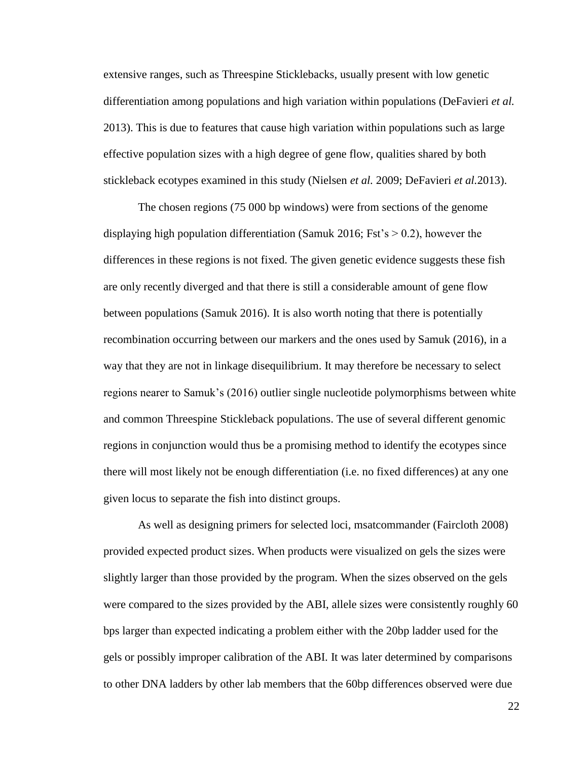extensive ranges, such as Threespine Sticklebacks, usually present with low genetic differentiation among populations and high variation within populations (DeFavieri *et al.* 2013). This is due to features that cause high variation within populations such as large effective population sizes with a high degree of gene flow, qualities shared by both stickleback ecotypes examined in this study (Nielsen *et al.* 2009; DeFavieri *et al.*2013).

The chosen regions (75 000 bp windows) were from sections of the genome displaying high population differentiation (Samuk 2016; Fst's  $> 0.2$ ), however the differences in these regions is not fixed. The given genetic evidence suggests these fish are only recently diverged and that there is still a considerable amount of gene flow between populations (Samuk 2016). It is also worth noting that there is potentially recombination occurring between our markers and the ones used by Samuk (2016), in a way that they are not in linkage disequilibrium. It may therefore be necessary to select regions nearer to Samuk's (2016) outlier single nucleotide polymorphisms between white and common Threespine Stickleback populations. The use of several different genomic regions in conjunction would thus be a promising method to identify the ecotypes since there will most likely not be enough differentiation (i.e. no fixed differences) at any one given locus to separate the fish into distinct groups.

As well as designing primers for selected loci, msatcommander (Faircloth 2008) provided expected product sizes. When products were visualized on gels the sizes were slightly larger than those provided by the program. When the sizes observed on the gels were compared to the sizes provided by the ABI, allele sizes were consistently roughly 60 bps larger than expected indicating a problem either with the 20bp ladder used for the gels or possibly improper calibration of the ABI. It was later determined by comparisons to other DNA ladders by other lab members that the 60bp differences observed were due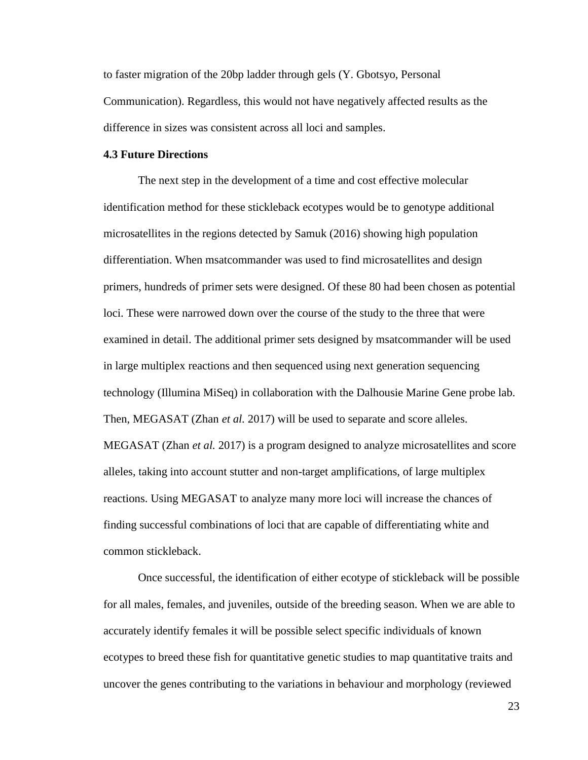to faster migration of the 20bp ladder through gels (Y. Gbotsyo, Personal Communication). Regardless, this would not have negatively affected results as the difference in sizes was consistent across all loci and samples.

## <span id="page-22-0"></span>**4.3 Future Directions**

The next step in the development of a time and cost effective molecular identification method for these stickleback ecotypes would be to genotype additional microsatellites in the regions detected by Samuk (2016) showing high population differentiation. When msatcommander was used to find microsatellites and design primers, hundreds of primer sets were designed. Of these 80 had been chosen as potential loci. These were narrowed down over the course of the study to the three that were examined in detail. The additional primer sets designed by msatcommander will be used in large multiplex reactions and then sequenced using next generation sequencing technology (Illumina MiSeq) in collaboration with the Dalhousie Marine Gene probe lab. Then, MEGASAT (Zhan *et al.* 2017) will be used to separate and score alleles. MEGASAT (Zhan *et al.* 2017) is a program designed to analyze microsatellites and score alleles, taking into account stutter and non-target amplifications, of large multiplex reactions. Using MEGASAT to analyze many more loci will increase the chances of finding successful combinations of loci that are capable of differentiating white and common stickleback.

Once successful, the identification of either ecotype of stickleback will be possible for all males, females, and juveniles, outside of the breeding season. When we are able to accurately identify females it will be possible select specific individuals of known ecotypes to breed these fish for quantitative genetic studies to map quantitative traits and uncover the genes contributing to the variations in behaviour and morphology (reviewed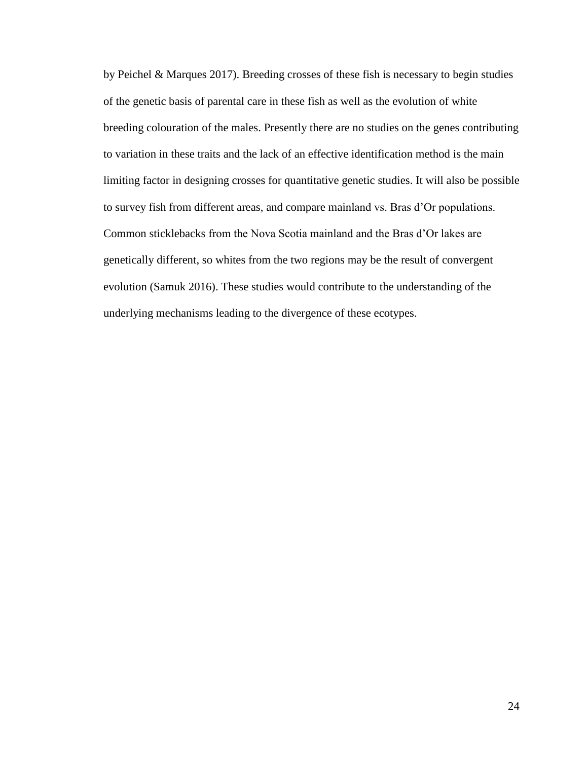by Peichel & Marques 2017). Breeding crosses of these fish is necessary to begin studies of the genetic basis of parental care in these fish as well as the evolution of white breeding colouration of the males. Presently there are no studies on the genes contributing to variation in these traits and the lack of an effective identification method is the main limiting factor in designing crosses for quantitative genetic studies. It will also be possible to survey fish from different areas, and compare mainland vs. Bras d'Or populations. Common sticklebacks from the Nova Scotia mainland and the Bras d'Or lakes are genetically different, so whites from the two regions may be the result of convergent evolution (Samuk 2016). These studies would contribute to the understanding of the underlying mechanisms leading to the divergence of these ecotypes.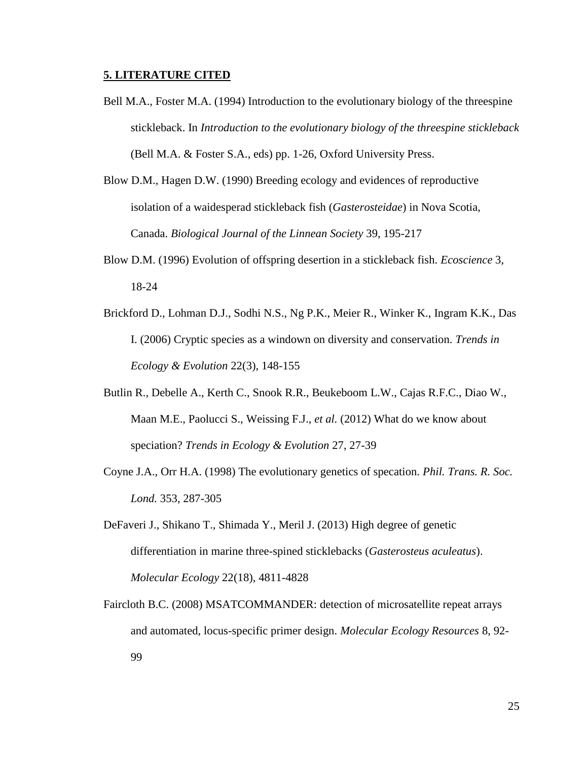## <span id="page-24-0"></span>**5. LITERATURE CITED**

- Bell M.A., Foster M.A. (1994) Introduction to the evolutionary biology of the threespine stickleback. In *Introduction to the evolutionary biology of the threespine stickleback* (Bell M.A. & Foster S.A., eds) pp. 1-26, Oxford University Press.
- Blow D.M., Hagen D.W. (1990) Breeding ecology and evidences of reproductive isolation of a waidesperad stickleback fish (*Gasterosteidae*) in Nova Scotia, Canada. *Biological Journal of the Linnean Society* 39, 195-217
- Blow D.M. (1996) Evolution of offspring desertion in a stickleback fish. *Ecoscience* 3, 18-24
- Brickford D., Lohman D.J., Sodhi N.S., Ng P.K., Meier R., Winker K., Ingram K.K., Das I. (2006) Cryptic species as a windown on diversity and conservation. *Trends in Ecology & Evolution* 22(3), 148-155
- Butlin R., Debelle A., Kerth C., Snook R.R., Beukeboom L.W., Cajas R.F.C., Diao W., Maan M.E., Paolucci S., Weissing F.J., *et al.* (2012) What do we know about speciation? *Trends in Ecology & Evolution* 27, 27-39
- Coyne J.A., Orr H.A. (1998) The evolutionary genetics of specation. *Phil. Trans. R. Soc. Lond.* 353, 287-305
- DeFaveri J., Shikano T., Shimada Y., Meril J. (2013) High degree of genetic differentiation in marine three-spined sticklebacks (*Gasterosteus aculeatus*). *Molecular Ecology* 22(18), 4811-4828
- Faircloth B.C. (2008) MSATCOMMANDER: detection of microsatellite repeat arrays and automated, locus-specific primer design. *Molecular Ecology Resources* 8, 92- 99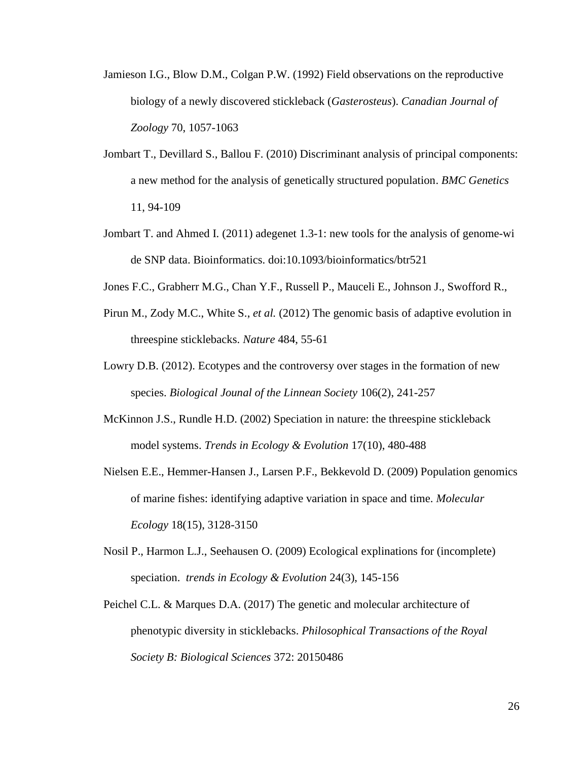- Jamieson I.G., Blow D.M., Colgan P.W. (1992) Field observations on the reproductive biology of a newly discovered stickleback (*Gasterosteus*). *Canadian Journal of Zoology* 70, 1057-1063
- Jombart T., Devillard S., Ballou F. (2010) Discriminant analysis of principal components: a new method for the analysis of genetically structured population. *BMC Genetics* 11, 94-109
- Jombart T. and Ahmed I. (2011) adegenet 1.3-1: new tools for the analysis of genome-wi de SNP data. Bioinformatics. doi:10.1093/bioinformatics/btr521
- Jones F.C., Grabherr M.G., Chan Y.F., Russell P., Mauceli E., Johnson J., Swofford R.,
- Pirun M., Zody M.C., White S., *et al.* (2012) The genomic basis of adaptive evolution in threespine sticklebacks. *Nature* 484, 55-61
- Lowry D.B. (2012). Ecotypes and the controversy over stages in the formation of new species. *Biological Jounal of the Linnean Society* 106(2), 241-257
- McKinnon J.S., Rundle H.D. (2002) Speciation in nature: the threespine stickleback model systems. *Trends in Ecology & Evolution* 17(10), 480-488
- Nielsen E.E., Hemmer-Hansen J., Larsen P.F., Bekkevold D. (2009) Population genomics of marine fishes: identifying adaptive variation in space and time. *Molecular Ecology* 18(15), 3128-3150
- Nosil P., Harmon L.J., Seehausen O. (2009) Ecological explinations for (incomplete) speciation. *trends in Ecology & Evolution* 24(3), 145-156
- Peichel C.L. & Marques D.A. (2017) The genetic and molecular architecture of phenotypic diversity in sticklebacks. *Philosophical Transactions of the Royal Society B: Biological Sciences* 372: 20150486